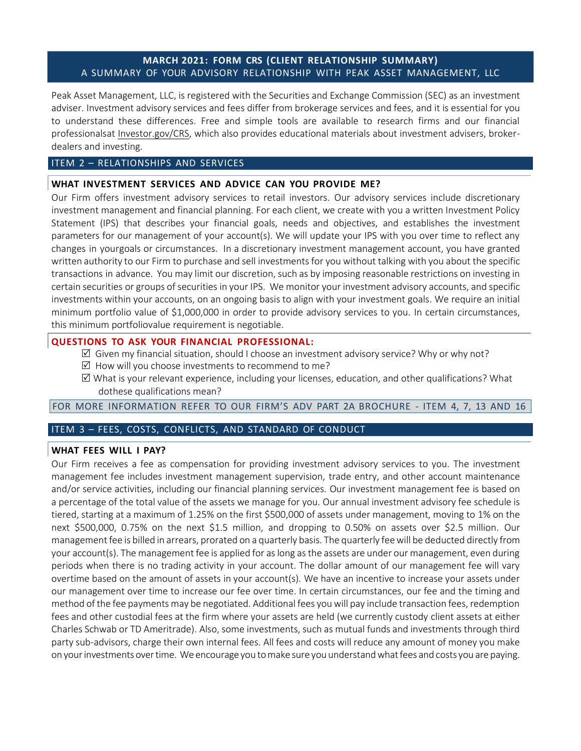# **MARCH 2021: FORM CRS (CLIENT RELATIONSHIP SUMMARY)** A SUMMARY OF YOUR ADVISORY RELATIONSHIP WITH PEAK ASSET MANAGEMENT, LLC

Peak Asset Management, LLC, is registered with the Securities and Exchange Commission (SEC) as an investment adviser. Investment advisory services and fees differ from brokerage services and fees, and it is essential for you to understand these differences. Free and simple tools are available to research firms and our financial professionalsat Investor.gov/CRS, which also provides educational materials about investment advisers, brokerdealers and investing.

## ITEM 2 – RELATIONSHIPS AND SERVICES

## **WHAT INVESTMENT SERVICES AND ADVICE CAN YOU PROVIDE ME?**

Our Firm offers investment advisory services to retail investors. Our advisory services include discretionary investment management and financial planning. For each client, we create with you a written Investment Policy Statement (IPS) that describes your financial goals, needs and objectives, and establishes the investment parameters for our management of your account(s). We will update your IPS with you over time to reflect any changes in yourgoals or circumstances. In a discretionary investment management account, you have granted written authority to our Firm to purchase and sell investments for you without talking with you about the specific transactions in advance. You may limit our discretion, such as by imposing reasonable restrictions on investing in certain securities or groups of securities in your IPS. We monitor your investment advisory accounts, and specific investments within your accounts, on an ongoing basis to align with your investment goals. We require an initial minimum portfolio value of \$1,000,000 in order to provide advisory services to you. In certain circumstances, this minimum portfoliovalue requirement is negotiable.

## **QUESTIONS TO ASK YOUR FINANCIAL PROFESSIONAL:**

- $\boxtimes$  Given my financial situation, should I choose an investment advisory service? Why or why not?
- $\boxtimes$  How will you choose investments to recommend to me?
- $\boxtimes$  What is your relevant experience, including your licenses, education, and other qualifications? What dothese qualifications mean?

FOR MORE INFORMATION REFER TO OUR FIRM'S ADV PART 2A BROCHURE - ITEM 4, 7, 13 AND 16

## ITEM 3 – FEES, COSTS, CONFLICTS, AND STANDARD OF CONDUCT

## **WHAT FEES WILL I PAY?**

Our Firm receives a fee as compensation for providing investment advisory services to you. The investment management fee includes investment management supervision, trade entry, and other account maintenance and/or service activities, including our financial planning services. Our investment management fee is based on a percentage of the total value of the assets we manage for you. Our annual investment advisory fee schedule is tiered, starting at a maximum of 1.25% on the first \$500,000 of assets under management, moving to 1% on the next \$500,000, 0.75% on the next \$1.5 million, and dropping to 0.50% on assets over \$2.5 million. Our managementfee is billed in arrears, prorated on a quarterly basis. The quarterly feewill be deducted directly from your account(s). The management fee is applied for as long as the assets are under our management, even during periods when there is no trading activity in your account. The dollar amount of our management fee will vary overtime based on the amount of assets in your account(s). We have an incentive to increase your assets under our management over time to increase our fee over time. In certain circumstances, our fee and the timing and method of the fee payments may be negotiated. Additional fees you will pay include transaction fees, redemption fees and other custodial fees at the firm where your assets are held (we currently custody client assets at either Charles Schwab or TD Ameritrade). Also, some investments, such as mutual funds and investments through third party sub-advisors, charge their own internal fees. All fees and costs will reduce any amount of money you make on yourinvestments overtime. We encourage you tomake sure you understandwhatfees and costs you are paying.